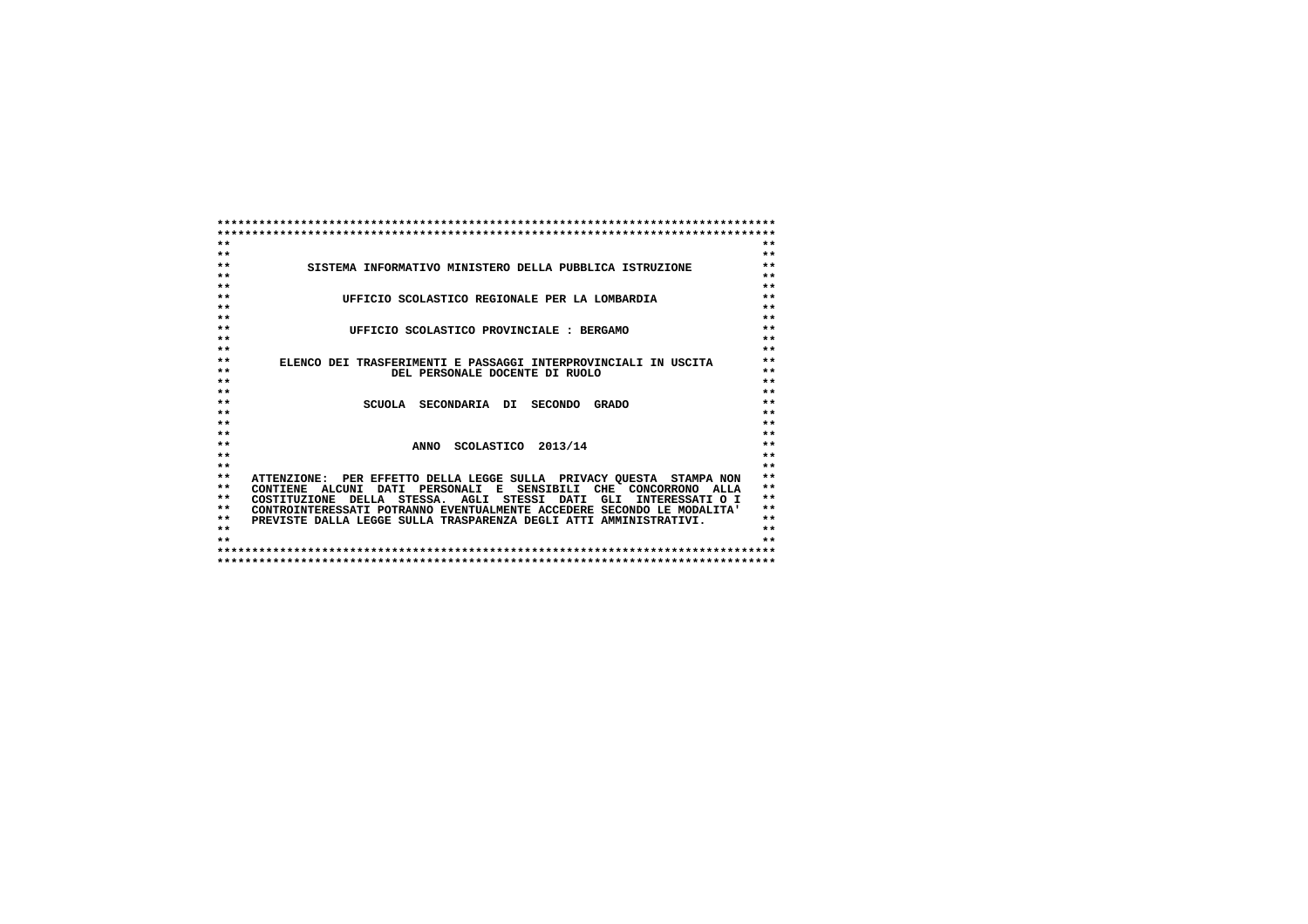| $**$         |                                                                          | $**$           |
|--------------|--------------------------------------------------------------------------|----------------|
| $**$         |                                                                          | $**$           |
| $**$         | SISTEMA INFORMATIVO MINISTERO DELLA PUBBLICA ISTRUZIONE                  | $***$<br>$***$ |
| $**$<br>$**$ |                                                                          | $**$           |
| $**$         |                                                                          | $**$           |
| $**$         | UFFICIO SCOLASTICO REGIONALE PER LA LOMBARDIA                            | $***$          |
| $**$         |                                                                          | $**$           |
| $**$         |                                                                          | $***$          |
| $\star\star$ | UFFICIO SCOLASTICO PROVINCIALE : BERGAMO                                 | $**$           |
| $\star\star$ |                                                                          | $**$           |
| $**$         | ELENCO DEI TRASFERIMENTI E PASSAGGI INTERPROVINCIALI IN USCITA           | $***$          |
| $**$         | DEL PERSONALE DOCENTE DI RUOLO                                           | $***$          |
| $**$         |                                                                          | $***$          |
| $**$         |                                                                          | $**$           |
| $**$         | SCUOLA SECONDARIA DI<br>SECONDO GRADO                                    | $**$           |
| $* *$        |                                                                          | $**$           |
| $\star\star$ |                                                                          | $**$           |
| $**$         |                                                                          | $***$          |
| $**$         | ANNO SCOLASTICO 2013/14                                                  | $***$          |
| $**$         |                                                                          | $**$           |
| $**$         |                                                                          | $**$           |
| $**$         | ATTENZIONE: PER EFFETTO DELLA LEGGE SULLA PRIVACY OUESTA STAMPA NON      | $**$           |
| $**$         | CONTIENE ALCUNI DATI PERSONALI E SENSIBILI CHE CONCORRONO ALLA           | $**$           |
| $* *$        | DELLA STESSA. AGLI STESSI DATI<br>GLI<br>INTERESSATI O I<br>COSTITUZIONE | $* *$          |
| $**$         | CONTROINTERESSATI POTRANNO EVENTUALMENTE ACCEDERE SECONDO LE MODALITA'   | $***$          |
| $**$         | PREVISTE DALLA LEGGE SULLA TRASPARENZA DEGLI ATTI AMMINISTRATIVI.        | $**$           |
| $**$         |                                                                          | $**$           |
| $**$         |                                                                          | $* *$          |
|              |                                                                          |                |
|              |                                                                          |                |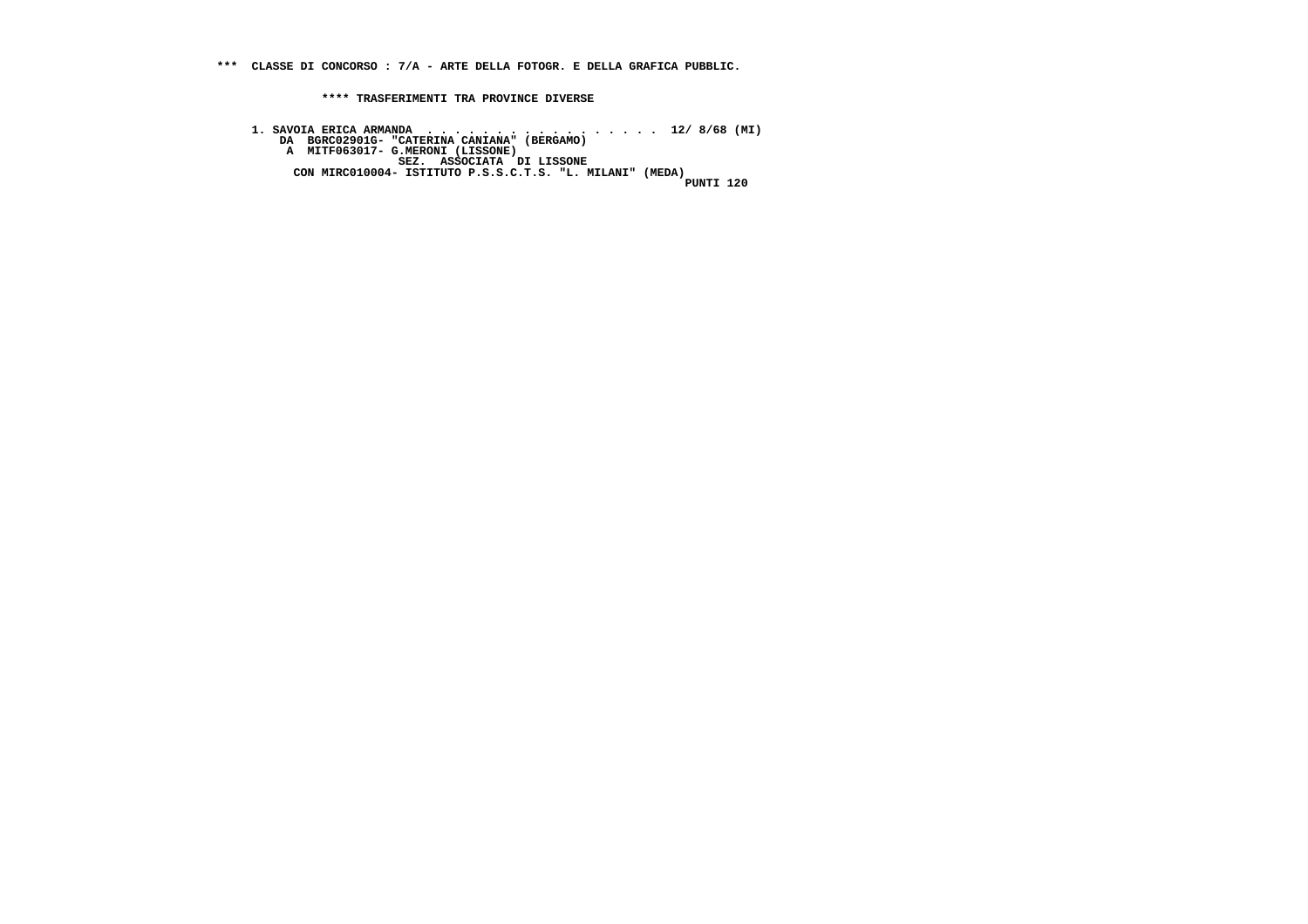**\*\*\* CLASSE DI CONCORSO : 7/A - ARTE DELLA FOTOGR. E DELLA GRAFICA PUBBLIC.**

 **\*\*\*\* TRASFERIMENTI TRA PROVINCE DIVERSE**

1. SAVOIA ERICA ARMANDA . . . . . . . . . . . . . . 12/ 8/68 (MI)<br>DA BGRC02901G- "CATERINA CANIANA" (BERGAMO)<br>A MITF063017- G.MERONI (LISSONE)<br>CON MIRC010004- ISTITUTO P.S.S.C.T.S. "L. MILANI" (MEDA)<br>PUNTI 120 .<br>120 דידאוזק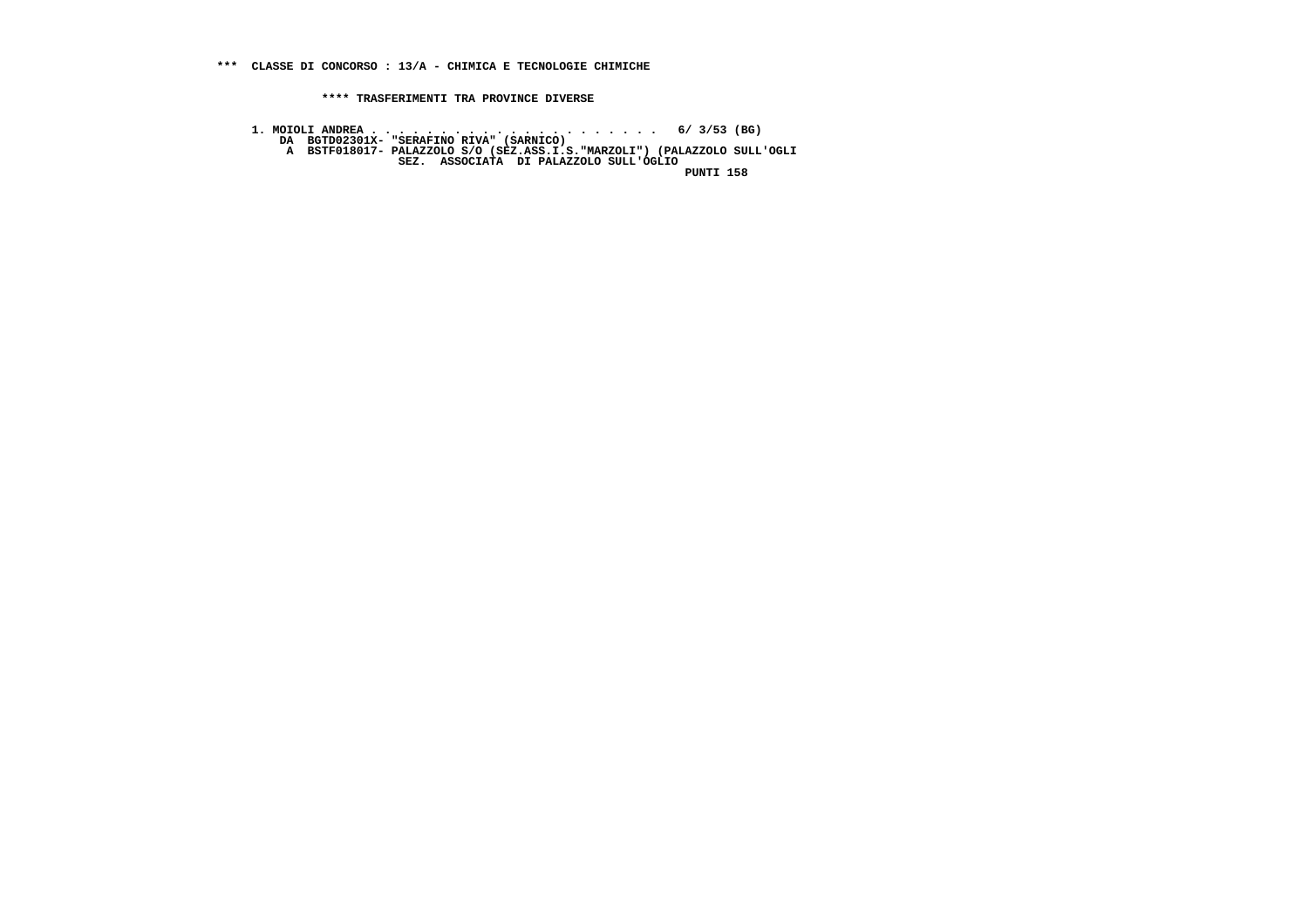**1. MOIOLI ANDREA . . . . . . . . . . . . . . . . . . . . . 6/ 3/53 (BG) DA BGTD02301X- "SERAFINO RIVA" (SARNICO) A BSTF018017- PALAZZOLO S/O (SEZ.ASS.I.S."MARZOLI") (PALAZZOLO SULL'OGLI SEZ. ASSOCIATA DI PALAZZOLO SULL'OGLIO PUNTI 158**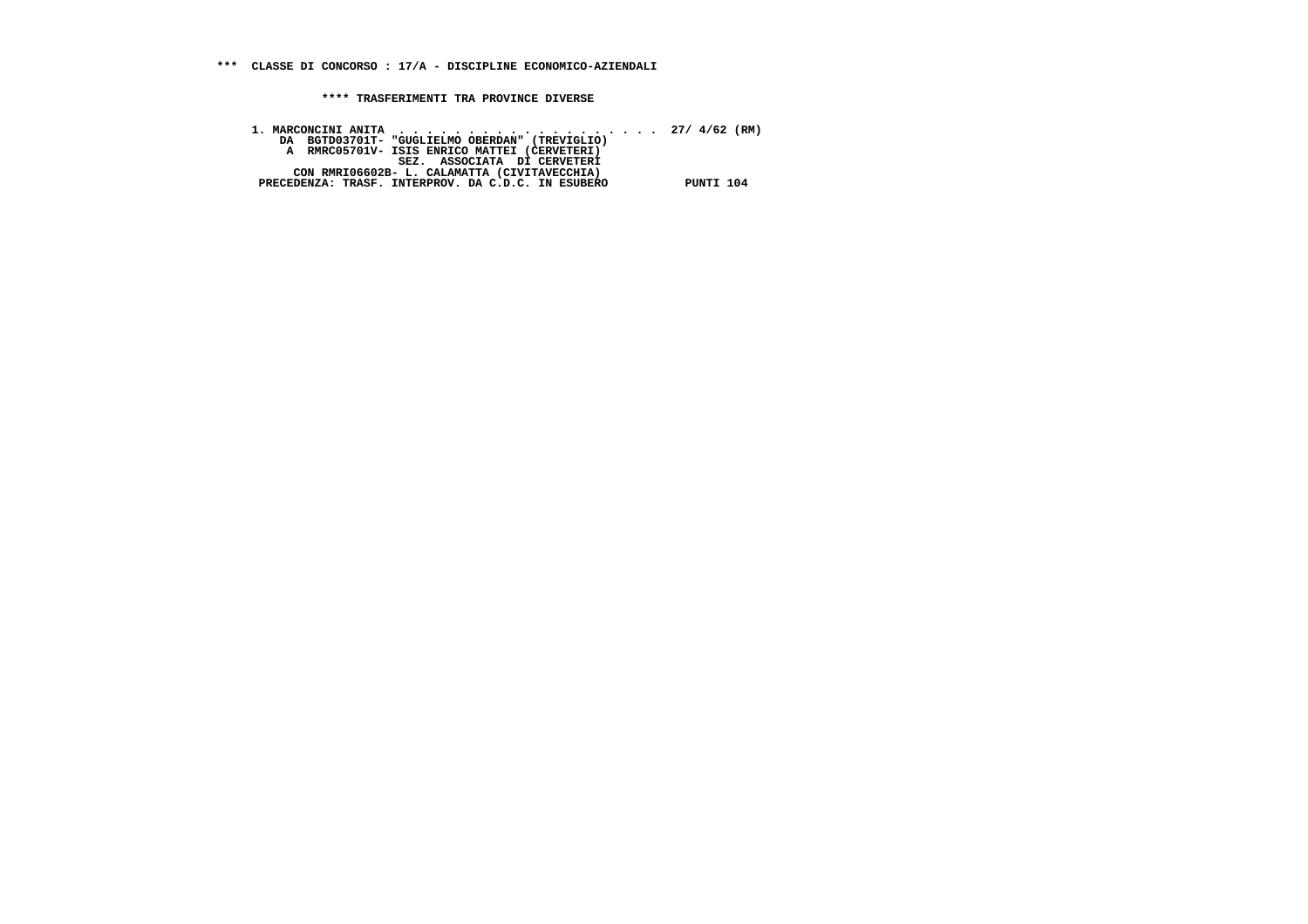| DA BGTD03701T- "GUGLIELMO OBERDAN" (TREVIGLIO)     |           |
|----------------------------------------------------|-----------|
| A RMRC05701V- ISIS ENRICO MATTEI (CERVETERI)       |           |
| SEZ. ASSOCIATA DI CERVETERI                        |           |
| CON RMRI06602B- L. CALAMATTA (CIVITAVECCHIA)       |           |
| PRECEDENZA: TRASF. INTERPROV. DA C.D.C. IN ESUBERO | PUNTI 104 |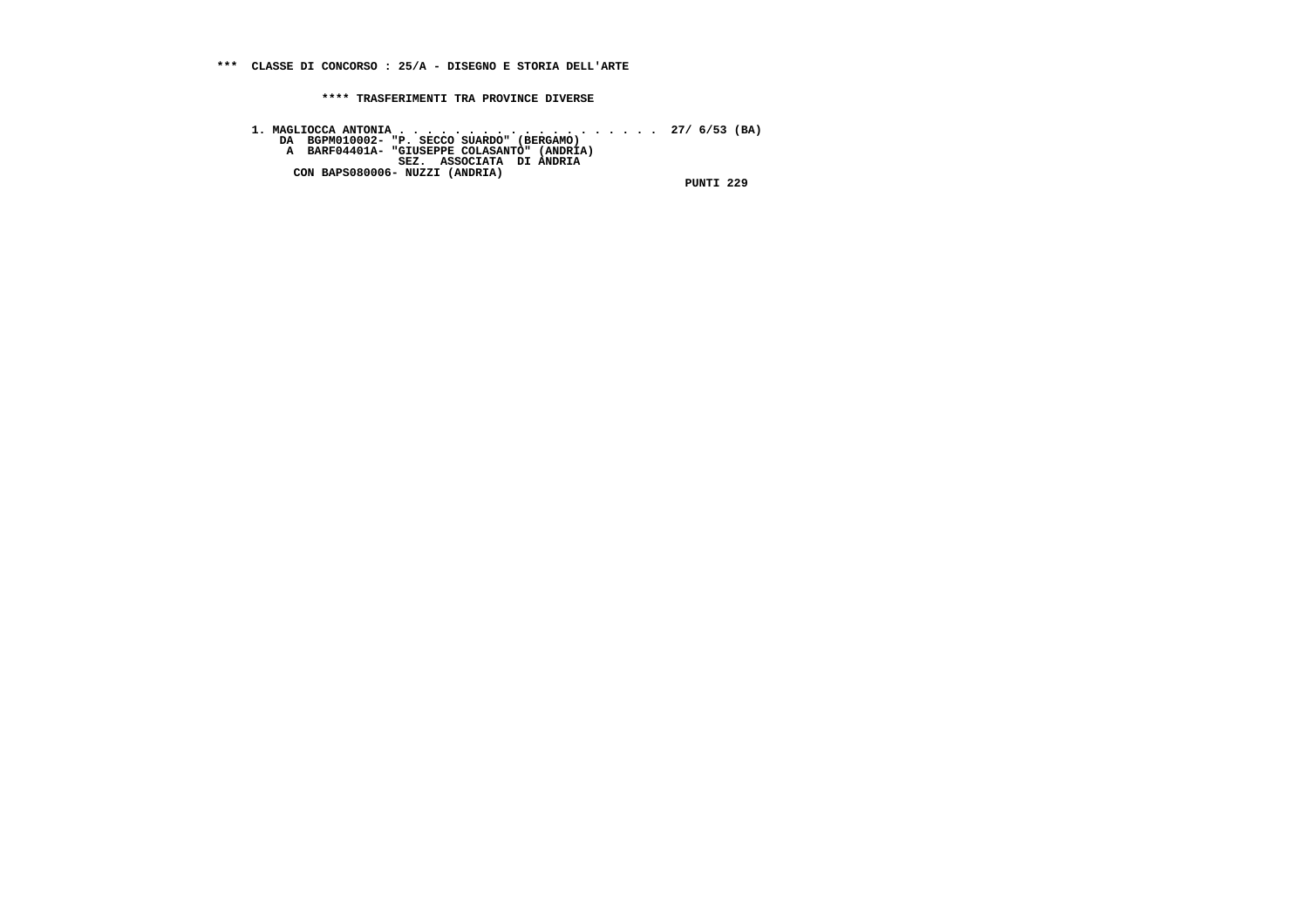1. MAGLIOCCA ANTONIA . . . . . . . . . . . . . . . . . 27/ 6/53 (BA)<br>DA BGPM010002- "P. SECCO SUARDO" (ANDRIA)<br>A BARF04401A- "GIUSEPPE COLASANTO" (ANDRIA)<br>CON BAPS080006- NUZZI (ANDRIA) PUNTI 229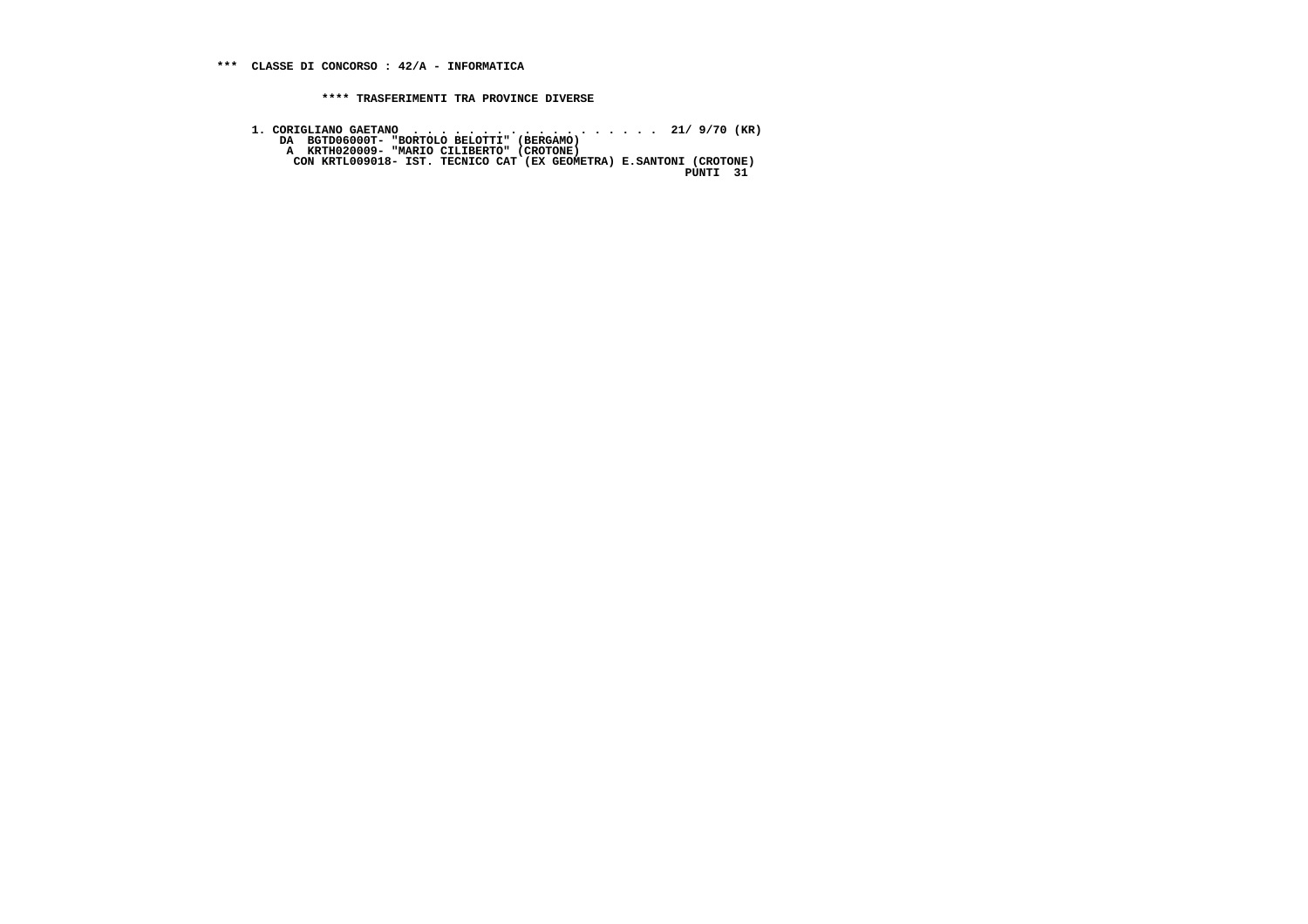1. CORIGLIANO GAETANO<br>DA BGTD06000T- "BORTOLO BELOTTI" (BERGAMO)<br>A KRTH020009- "MARIO CILIBERTO" (CROTONE)<br>CON KRTL009018- IST. TECNICO CAT (EX GEOMETRA) E.SANTONI (CROTONE)<br>PUNTI 31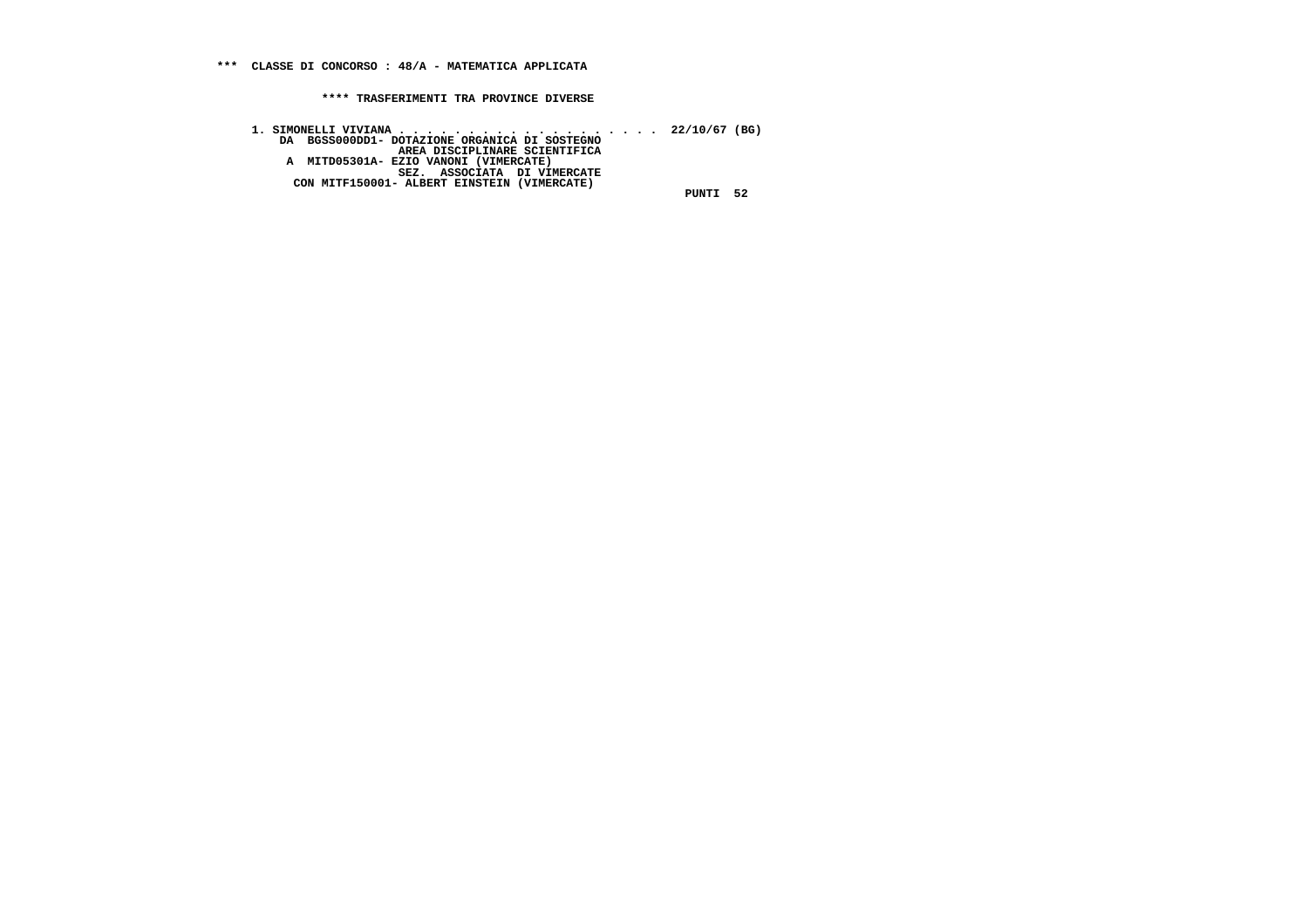**1. SIMONELLI VIVIANA . . . . . . . . . . . . . . . . . . . 22/10/67 (BG) DA BGSS000DD1- DOTAZIONE ORGANICA DI SOSTEGNO AREA DISCIPLINARE SCIENTIFICA A MITD05301A- EZIO VANONI (VIMERCATE) SEZ. ASSOCIATA DI VIMERCATE CON MITF150001- ALBERT EINSTEIN (VIMERCATE) PUNTI 52**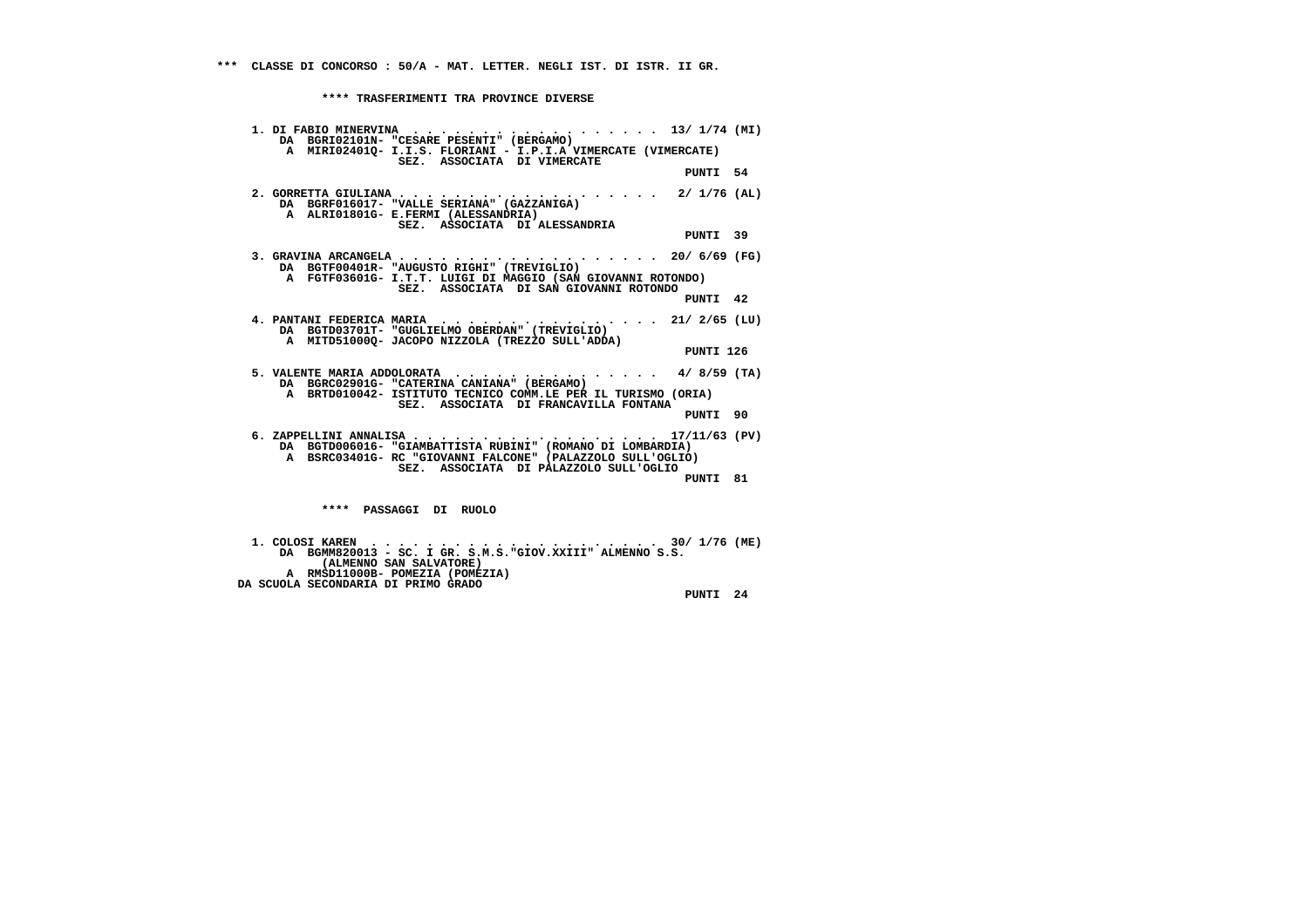| 1. DI FABIO MINERVINA 13/ 1/74 (MI)<br>DA BGRI02101N- "CESARE PESENTI" (BERGAMO)<br>A MIRI02401Q- I.I.S. FLORIANI - I.P.I.A VIMERCATE (VIMERCATE)                                                           |  |
|-------------------------------------------------------------------------------------------------------------------------------------------------------------------------------------------------------------|--|
| SEZ. ASSOCIATA DI VIMERCATE<br>PUNTI 54                                                                                                                                                                     |  |
| DA BGRF016017- "VALLE SERIANA" (GAZZANIGA)<br>A ALRIO1801G- E.FERMI (ALESSANDRIA)<br>SEZ. ASSOCIATA DI ALESSANDRIA                                                                                          |  |
| PUNTI 39                                                                                                                                                                                                    |  |
| 3. GRAVINA ARCANGELA 20/ 6/69 (FG)<br>DA BGTF00401R- "AUGUSTO RIGHI" (TREVIGLIO)<br>A FGTF03601G- I.T.T. LUIGI DI MAGGIO (SAN GIOVANNI ROTONDO)<br>SEZ. ASSOCIATA DI SAN GIOVANNI ROTONDO                   |  |
| PUNTI 42                                                                                                                                                                                                    |  |
| DA BGTD03701T- "GUGLIELMO OBERDAN" (TREVIGLIO)<br>A MITD510000- JACOPO NIZZOLA (TREZZO SULL'ADDA)                                                                                                           |  |
| PUNTI 126                                                                                                                                                                                                   |  |
| 5. VALENTE MARIA ADDOLORATA 4/8/59 (TA)<br>DA BGRC02901G- "CATERINA CANIANA" (BERGAMO)<br>A BRTD010042- ISTITUTO TECNICO COMM.LE PER IL TURISMO (ORIA)<br>SEZ. ASSOCIATA DI FRANCAVILLA FONTANA             |  |
| PUNTI 90                                                                                                                                                                                                    |  |
| 6. ZAPPELLINI ANNALISA 17/11/63 (PV)<br>DA BGTD006016- "GIAMBATTISTA RUBINI" (ROMANO DI LOMBARDIA)<br>A BSRC03401G- RC "GIOVANNI FALCONE" (PALAZZOLO SULL'OGLIO)<br>SEZ. ASSOCIATA DI PALAZZOLO SULL'OGLIO  |  |
| PUNTI 81                                                                                                                                                                                                    |  |
| **** PASSAGGI DI RUOLO                                                                                                                                                                                      |  |
| $1.$ COLOSI KAREN $\ldots$<br>$\cdots$ $\cdots$ $\cdots$ $\cdots$ 30/ 1/76 (ME)<br>DA BGMM820013 - SC. I GR. S.M.S. "GIOV.XXIII" ALMENNO S.S.<br>(ALMENNO SAN SALVATORE)<br>A RMSD11000B- POMEZIA (POMEZIA) |  |
| DA SCUOLA SECONDARIA DI PRIMO GRADO                                                                                                                                                                         |  |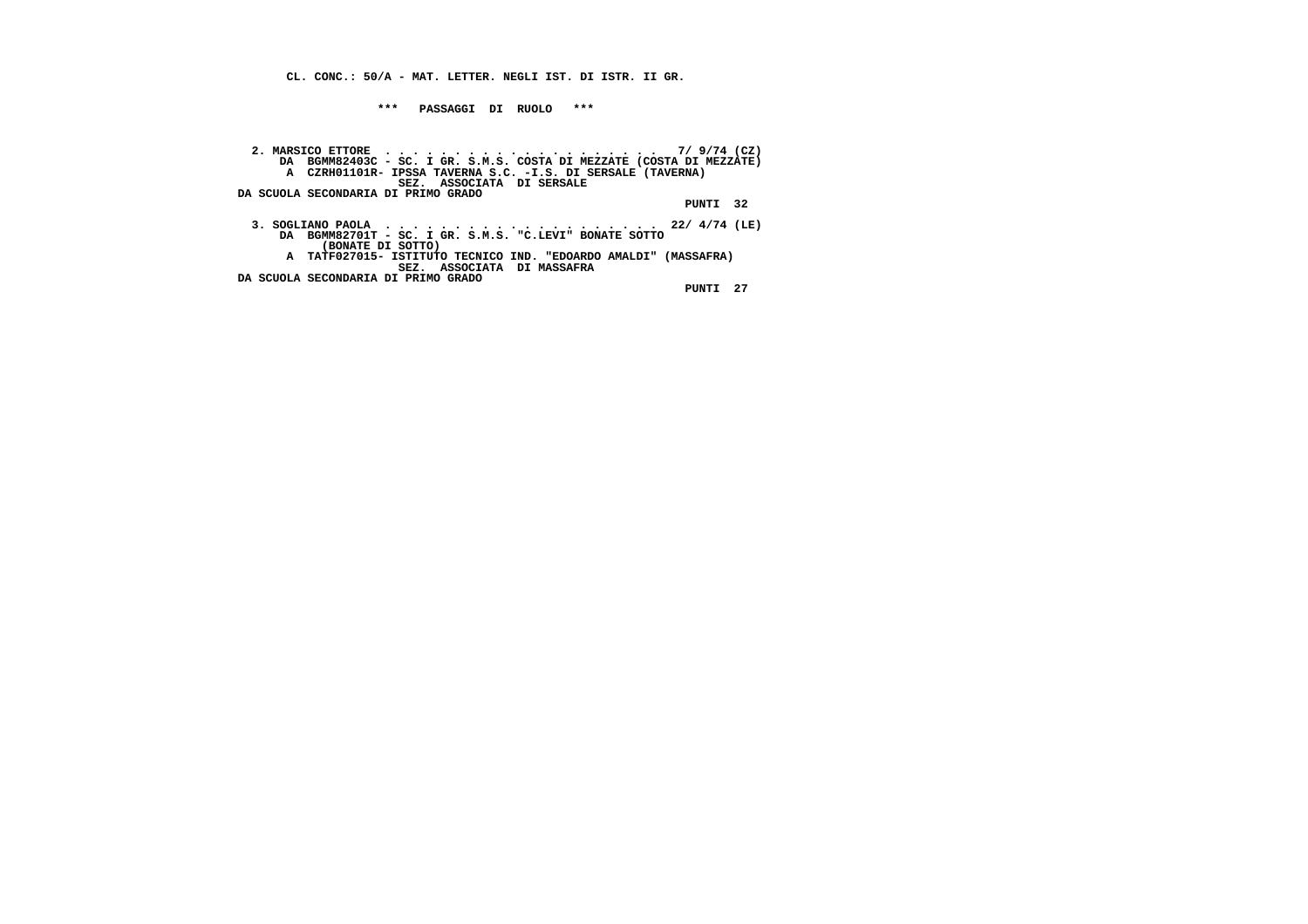**CL. CONC.: 50/A - MAT. LETTER. NEGLI IST. DI ISTR. II GR.**

 **\*\*\* PASSAGGI DI RUOLO \*\*\***

 **2. MARSICO ETTORE . . . . . . . . . . . . . . . . . . . . 7/ 9/74 (CZ) DA BGMM82403C - SC. I GR. S.M.S. COSTA DI MEZZATE (COSTA DI MEZZATE) A CZRH01101R- IPSSA TAVERNA S.C. -I.S. DI SERSALE (TAVERNA) SEZ. ASSOCIATA DI SERSALE DA SCUOLA SECONDARIA DI PRIMO GRADO PUNTI 32 3. SOGLIANO PAOLA . . . . . . . . . . . . . . . . . . . . 22/ 4/74 (LE) DA BGMM82701T - SC. I GR. S.M.S. "C.LEVI" BONATE SOTTO A TATF027015- ISTITUTO TECNICO IND. "EDOARDO AMALDI" (MASSAFRA) SEZ. ASSOCIATA DI MASSAFRA DA SCUOLA SECONDARIA DI PRIMO GRADO (BONATE DI SOTTO)**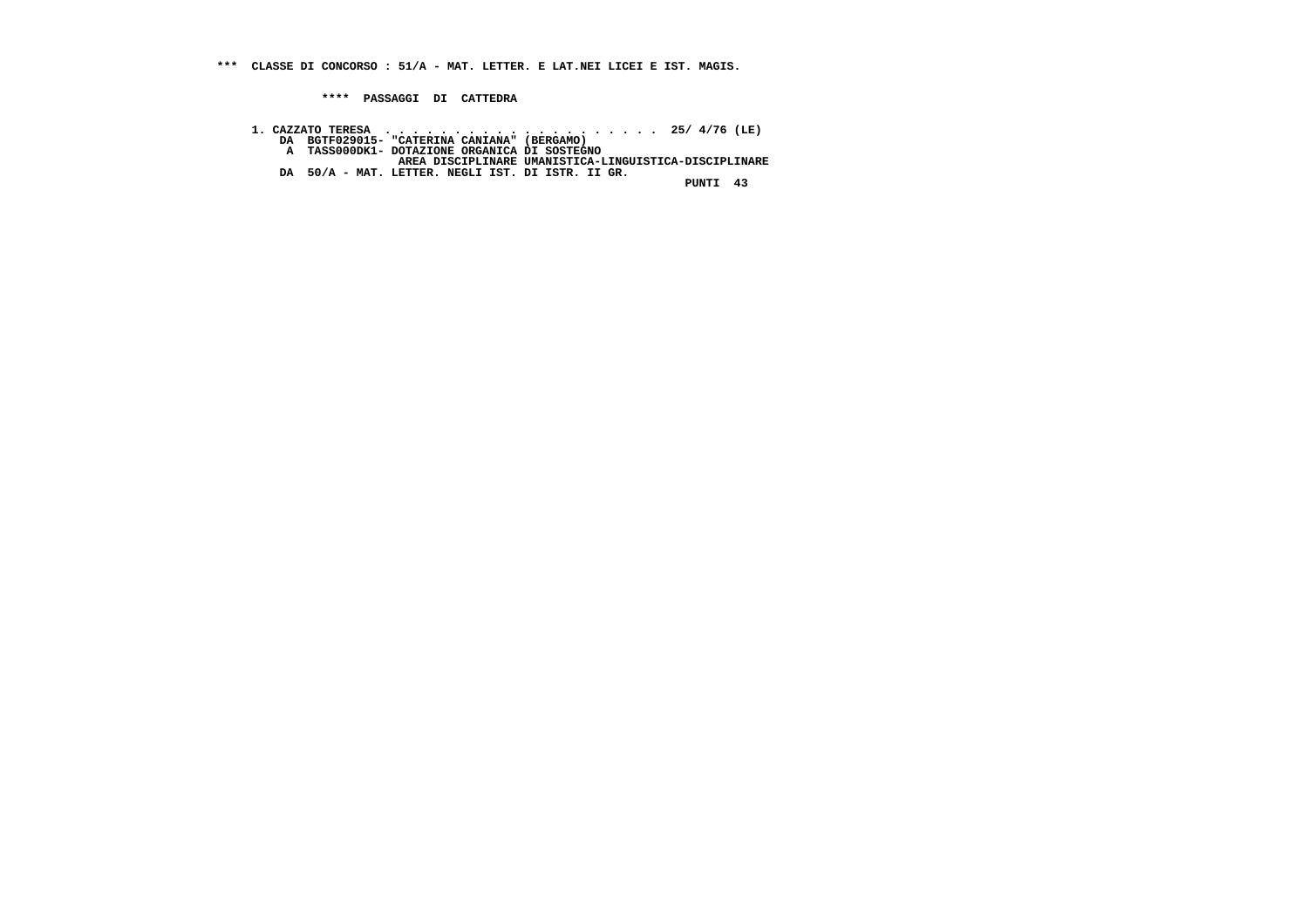**\*\*\* CLASSE DI CONCORSO : 51/A - MAT. LETTER. E LAT.NEI LICEI E IST. MAGIS.**

 **\*\*\*\* PASSAGGI DI CATTEDRA**

- -
	-
- **1. CAZZATO TERESA . . . . . . . . . . . . . . . . . . . . 25/ 4/76 (LE) DA BGTF029015- "CATERINA CANIANA" (BERGAMO) A TASS000DK1- DOTAZIONE ORGANICA DI SOSTEGNO AREA DISCIPLINARE UMANISTICA-LINGUISTICA-DISCIPLINARE DA 50/A MAT. LETTER. NEGLI IST. DI ISTR. II GR. PUNTI 43**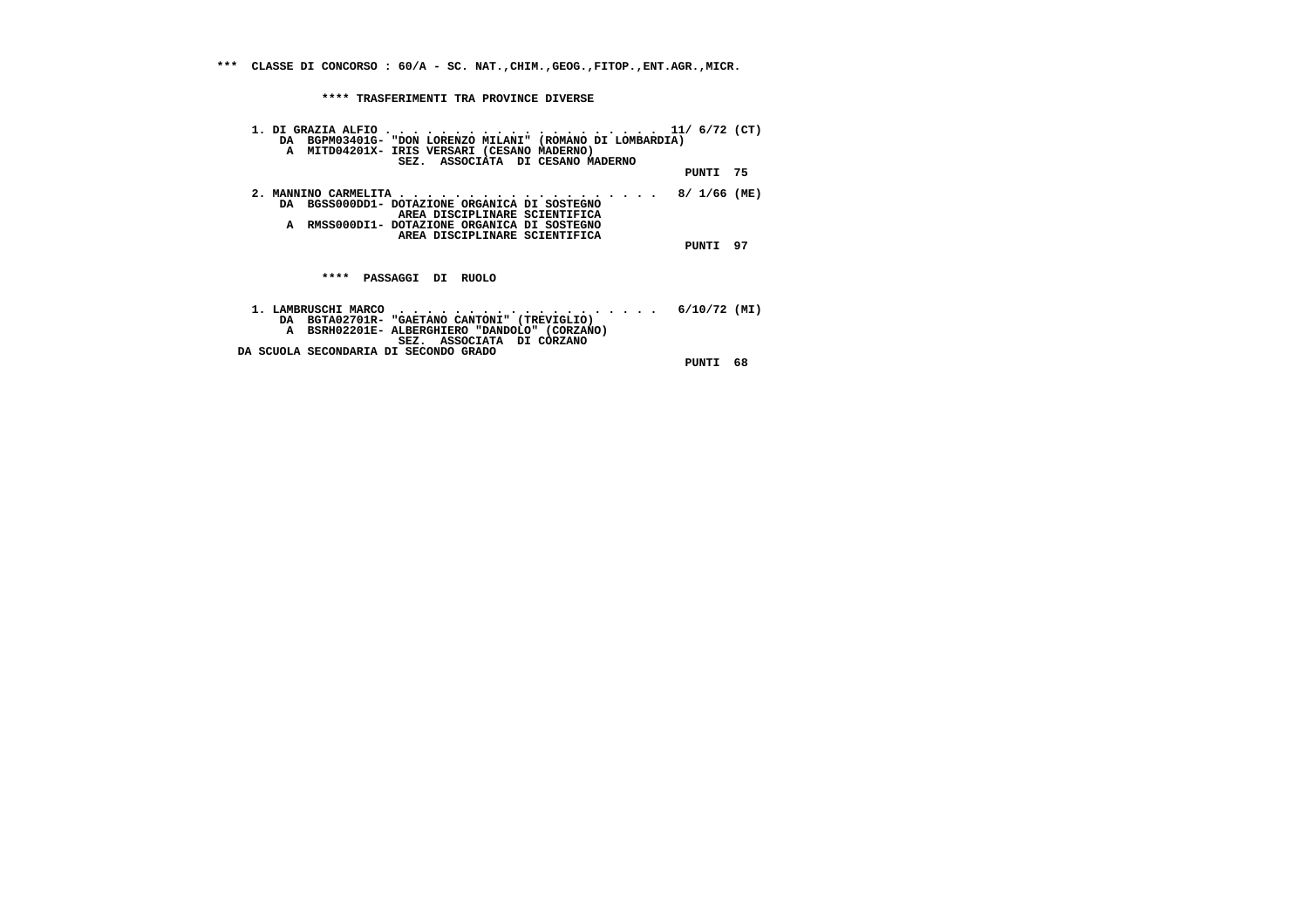**\*\*\* CLASSE DI CONCORSO : 60/A - SC. NAT.,CHIM.,GEOG.,FITOP.,ENT.AGR.,MICR.**

 **\*\*\*\* TRASFERIMENTI TRA PROVINCE DIVERSE**

| DA BGPM03401G- "DON LORENZO MILANI" (ROMANO DI LOMBARDIA)<br>A MITD04201X- IRIS VERSARI (CESANO MADERNO)<br>SEZ. ASSOCIATA DI CESANO MADERNO                                                         |              |    |
|------------------------------------------------------------------------------------------------------------------------------------------------------------------------------------------------------|--------------|----|
|                                                                                                                                                                                                      | PUNTI 75     |    |
| 2. MANNINO CARMELITA 8/ 1/66 (ME)<br>DA BGSS000DD1- DOTAZIONE ORGANICA DI SOSTEGNO<br>AREA DISCIPLINARE SCIENTIFICA<br>A RMSS000DI1- DOTAZIONE ORGANICA DI SOSTEGNO<br>AREA DISCIPLINARE SCIENTIFICA |              |    |
|                                                                                                                                                                                                      | PUNTI        | 97 |
| ****<br><b>PASSAGGI DI</b><br><b>RUOLO</b>                                                                                                                                                           |              |    |
| 1. LAMBRUSCHI MARCO<br>.<br>DA BGTA02701R- "GAETANO CANTONI" (TREVIGLIO)<br>A BSRH02201E-ALBERGHIERO "DANDOLO" (CORZANO)<br>SEZ. ASSOCIATA DI CORZANO                                                | 6/10/72 (MI) |    |
| DA SCUOLA SECONDARIA DI SECONDO GRADO                                                                                                                                                                | PUNTI        | 68 |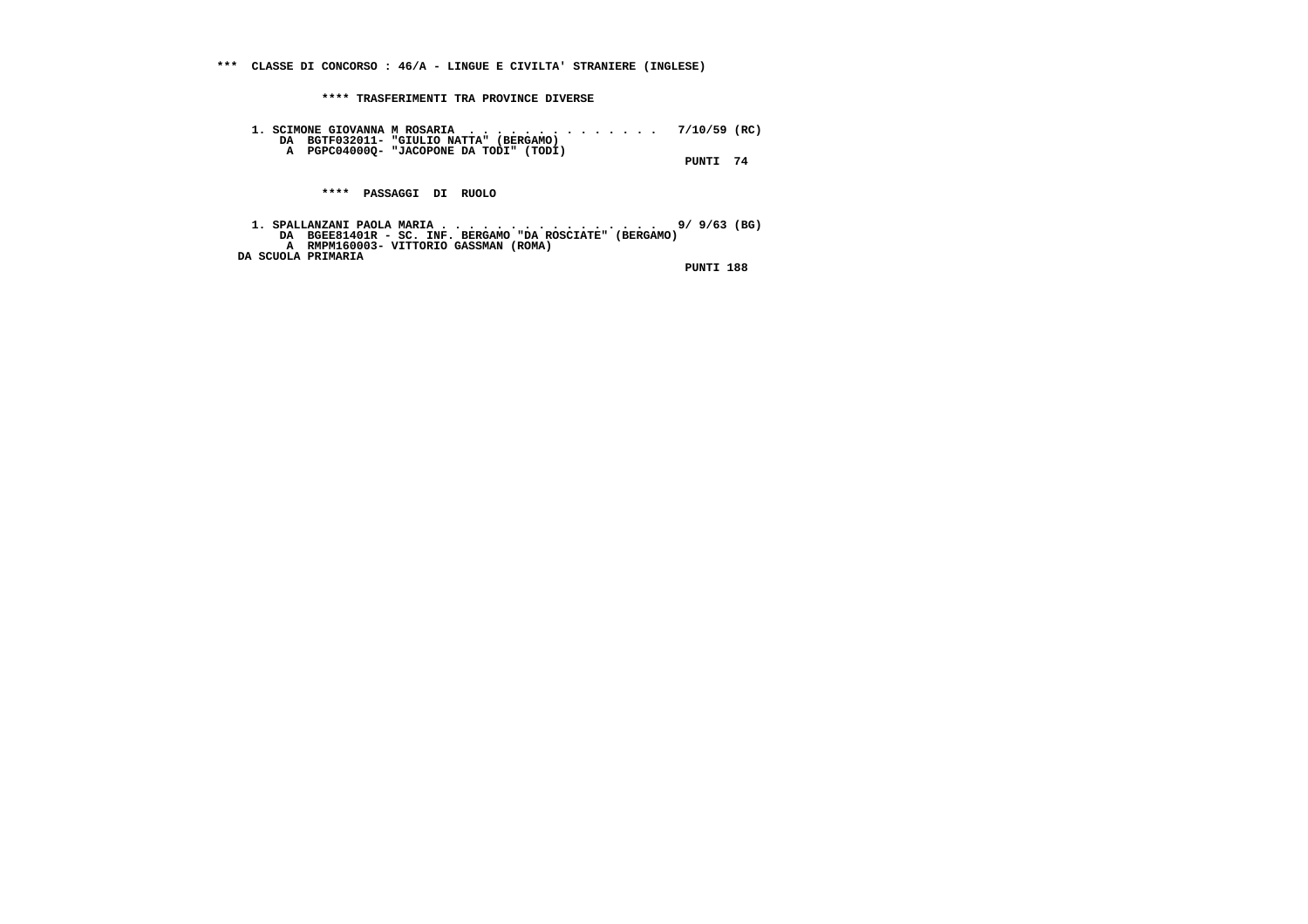**\*\*\* CLASSE DI CONCORSO : 46/A - LINGUE E CIVILTA' STRANIERE (INGLESE)**

 **\*\*\*\* TRASFERIMENTI TRA PROVINCE DIVERSE**

 **1. SCIMONE GIOVANNA M ROSARIA . . . . . . . . . . . . . . 7/10/59 (RC) DA BGTF032011- "GIULIO NATTA" (BERGAMO) A PGPC04000Q- "JACOPONE DA TODI" (TODI) PUNTI 74**

 **\*\*\*\* PASSAGGI DI RUOLO**

1. SPALLANZANI PAOLA MARIA . . . . . . . . . . . . . . . . . 9/ 9/63 (BG)<br>DA BGEE81401R - SC. INF. BERGAMO "DA ROSCIATE" (BERGAMO)<br>A RMPM160003- VITTORIO GASSMAN (ROMA)  **DA SCUOLA PRIMARIA**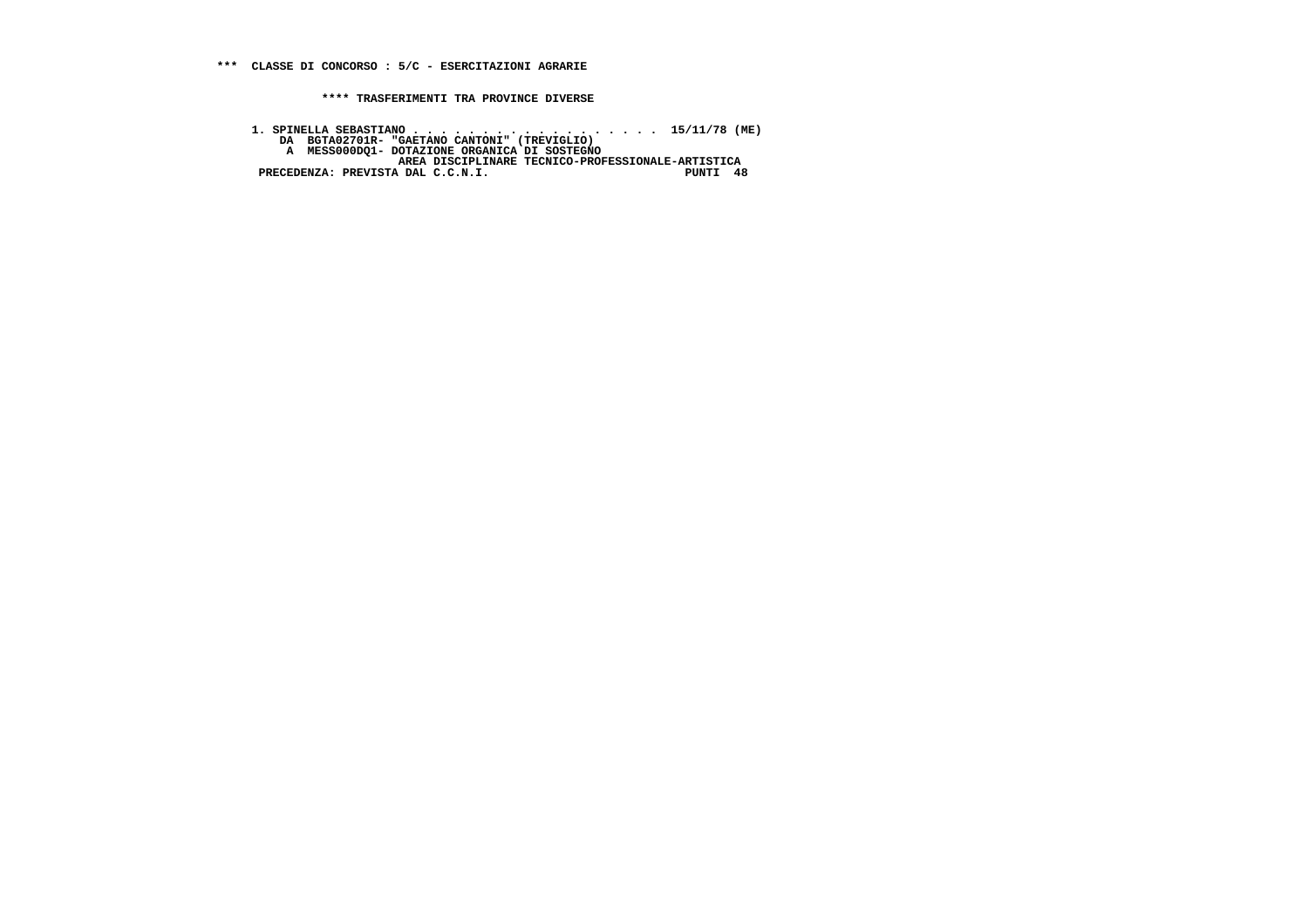**1. SPINELLA SEBASTIANO . . . . . . . . . . . . . . . . . . 15/11/78 (ME) DA BGTA02701R- "GAETANO CANTONI" (TREVIGLIO) A MESS000DQ1- DOTAZIONE ORGANICA DI SOSTEGNO AREA DISCIPLINARE TECNICO-PROFESSIONALE-ARTISTICA PRECEDENZA: PREVISTA DAL C.C.N.I. PUNTI 48**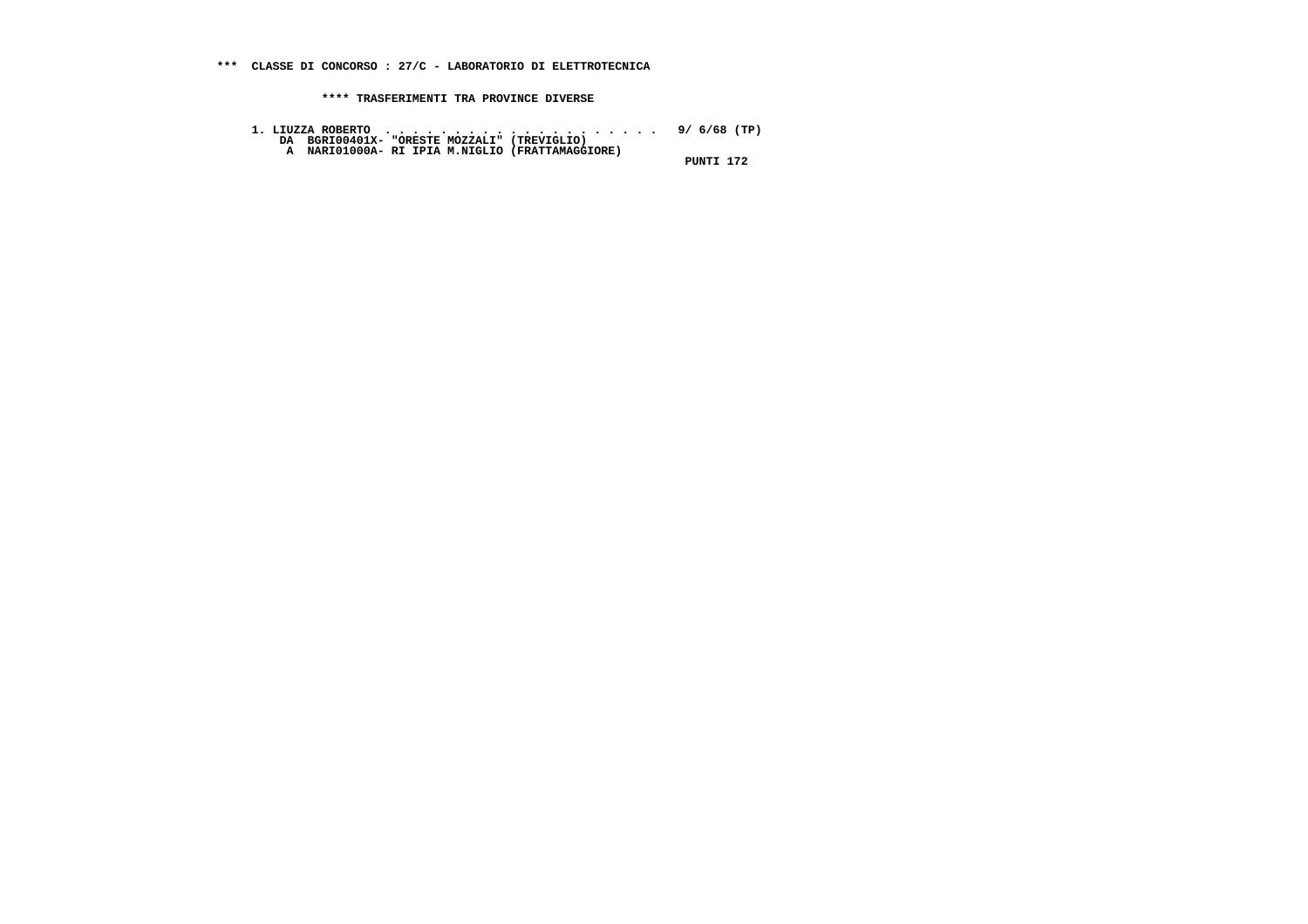- **1. LIUZZA ROBERTO . . . . . . . . . . . . . . . . . . . . 9/ 6/68 (TP) DA BGRI00401X- "ORESTE MOZZALI" (TREVIGLIO) A NARI01000A- RI IPIA M.NIGLIO (FRATTAMAGGIORE)**
	-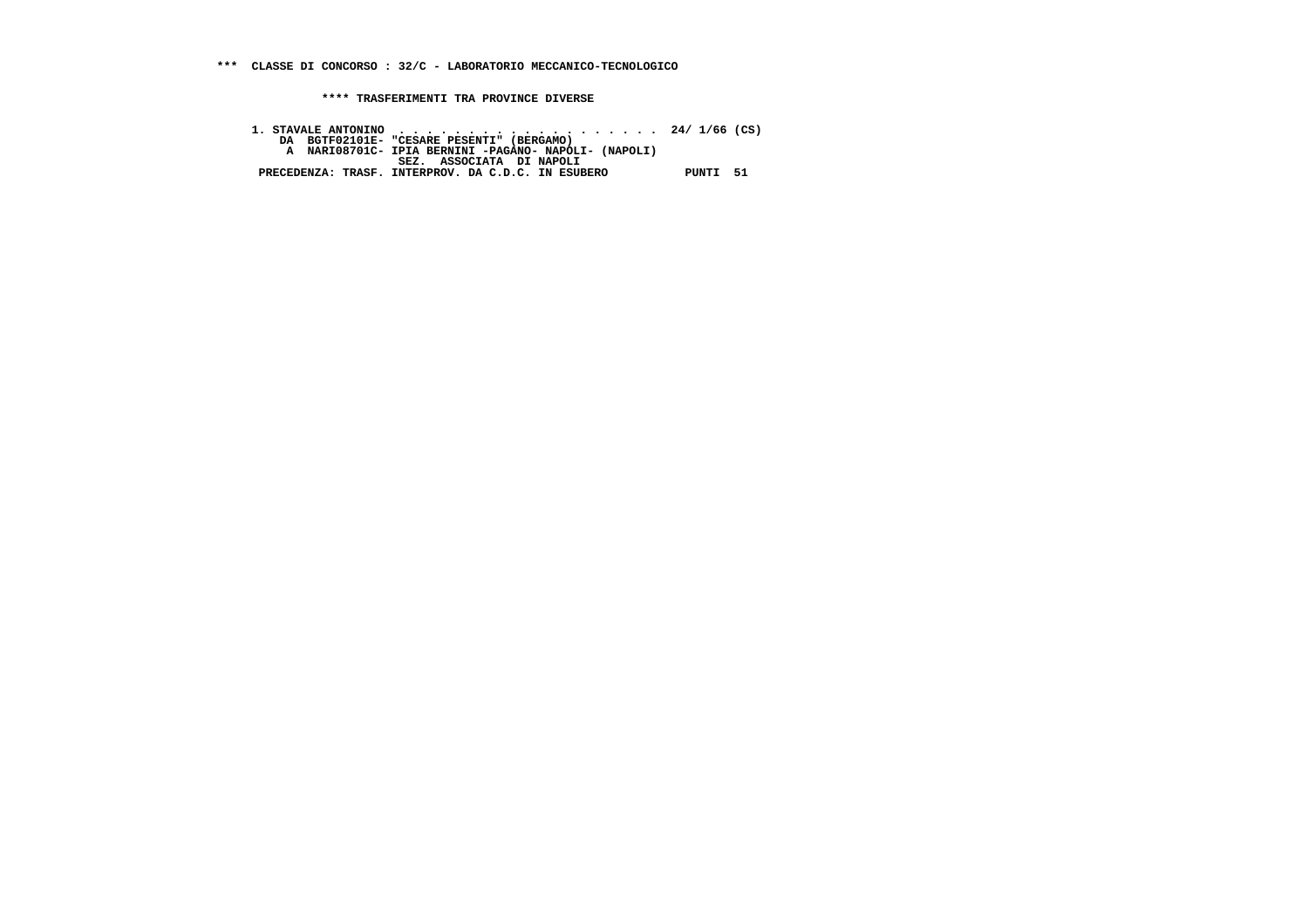1. STAVALE ANTONINO<br>DA BGTF02101E- "CESARE PESENTI" (BERGAMO)<br>A NARI08701C- IPIA BERNINI-PAGANO- NAPOLI- (NAPOLI)<br>BEZ. ASSOCIATA DI NAPOLI<br>PRECEDENZA: TRASF. INTERPROV. DA C.D.C. IN ESUBERO PUNTI 51